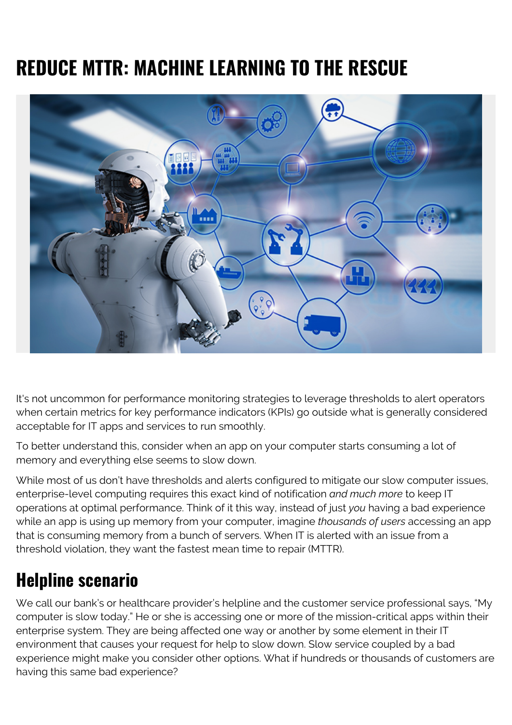# **REDUCE MTTR: MACHINE LEARNING TO THE RESCUE**



It's not uncommon for performance monitoring strategies to leverage thresholds to alert operators when certain metrics for key performance indicators (KPIs) go outside what is generally considered acceptable for IT apps and services to run smoothly.

To better understand this, consider when an app on your computer starts consuming a lot of memory and everything else seems to slow down.

While most of us don't have thresholds and alerts configured to mitigate our slow computer issues, enterprise-level computing requires this exact kind of notification *and much more* to keep IT operations at optimal performance. Think of it this way, instead of just *you* having a bad experience while an app is using up memory from your computer, imagine *thousands of users* accessing an app that is consuming memory from a bunch of servers. When IT is alerted with an issue from a threshold violation, they want the fastest mean time to repair (MTTR).

### **Helpline scenario**

We call our bank's or healthcare provider's helpline and the customer service professional says, "My computer is slow today." He or she is accessing one or more of the mission-critical apps within their enterprise system. They are being affected one way or another by some element in their IT environment that causes your request for help to slow down. Slow service coupled by a bad experience might make you consider other options. What if hundreds or thousands of customers are having this same bad experience?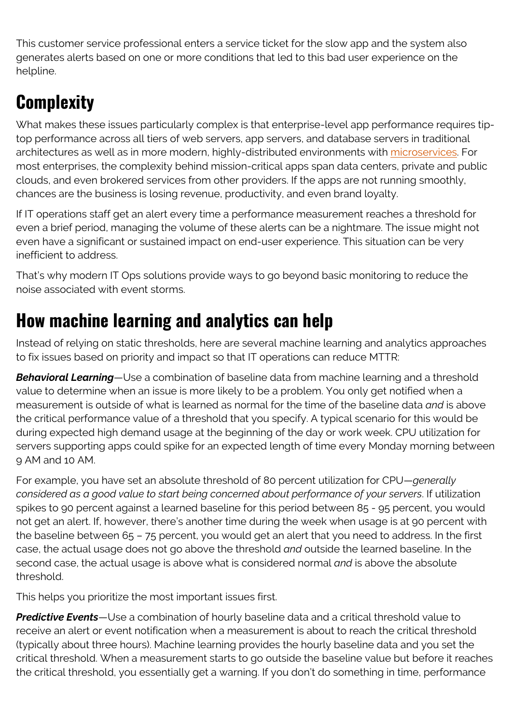This customer service professional enters a service ticket for the slow app and the system also generates alerts based on one or more conditions that led to this bad user experience on the helpline.

## **Complexity**

What makes these issues particularly complex is that enterprise-level app performance requires tiptop performance across all tiers of web servers, app servers, and database servers in traditional architectures as well as in more modern, highly-distributed environments with [microservices](https://www.bmc.com/blogs/microservices-architecture-introduction-microservices/). For most enterprises, the complexity behind mission-critical apps span data centers, private and public clouds, and even brokered services from other providers. If the apps are not running smoothly, chances are the business is losing revenue, productivity, and even brand loyalty.

If IT operations staff get an alert every time a performance measurement reaches a threshold for even a brief period, managing the volume of these alerts can be a nightmare. The issue might not even have a significant or sustained impact on end-user experience. This situation can be very inefficient to address.

That's why modern IT Ops solutions provide ways to go beyond basic monitoring to reduce the noise associated with event storms.

### **How machine learning and analytics can help**

Instead of relying on static thresholds, here are several machine learning and analytics approaches to fix issues based on priority and impact so that IT operations can reduce MTTR:

*Behavioral Learning*—Use a combination of baseline data from machine learning and a threshold value to determine when an issue is more likely to be a problem. You only get notified when a measurement is outside of what is learned as normal for the time of the baseline data *and* is above the critical performance value of a threshold that you specify. A typical scenario for this would be during expected high demand usage at the beginning of the day or work week. CPU utilization for servers supporting apps could spike for an expected length of time every Monday morning between 9 AM and 10 AM.

For example, you have set an absolute threshold of 80 percent utilization for CPU—*generally considered as a good value to start being concerned about performance of your servers*. If utilization spikes to 90 percent against a learned baseline for this period between 85 - 95 percent, you would not get an alert. If, however, there's another time during the week when usage is at 90 percent with the baseline between 65 – 75 percent, you would get an alert that you need to address. In the first case, the actual usage does not go above the threshold *and* outside the learned baseline. In the second case, the actual usage is above what is considered normal *and* is above the absolute threshold.

This helps you prioritize the most important issues first.

*Predictive Events*—Use a combination of hourly baseline data and a critical threshold value to receive an alert or event notification when a measurement is about to reach the critical threshold (typically about three hours). Machine learning provides the hourly baseline data and you set the critical threshold. When a measurement starts to go outside the baseline value but before it reaches the critical threshold, you essentially get a warning. If you don't do something in time, performance